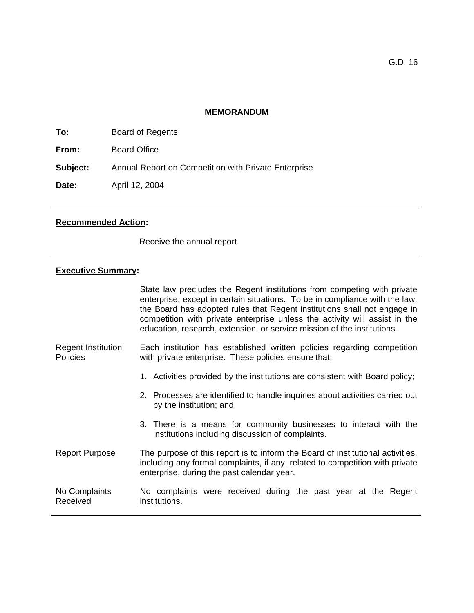# **MEMORANDUM**

**To:** Board of Regents

**From:** Board Office

**Subject:** Annual Report on Competition with Private Enterprise

**Date:** April 12, 2004

# **Recommended Action:**

Receive the annual report.

## **Executive Summary:**

|                                              | State law precludes the Regent institutions from competing with private<br>enterprise, except in certain situations. To be in compliance with the law,<br>the Board has adopted rules that Regent institutions shall not engage in<br>competition with private enterprise unless the activity will assist in the<br>education, research, extension, or service mission of the institutions. |
|----------------------------------------------|---------------------------------------------------------------------------------------------------------------------------------------------------------------------------------------------------------------------------------------------------------------------------------------------------------------------------------------------------------------------------------------------|
| <b>Regent Institution</b><br><b>Policies</b> | Each institution has established written policies regarding competition<br>with private enterprise. These policies ensure that:                                                                                                                                                                                                                                                             |
|                                              | 1. Activities provided by the institutions are consistent with Board policy;                                                                                                                                                                                                                                                                                                                |
|                                              | 2. Processes are identified to handle inquiries about activities carried out<br>by the institution; and                                                                                                                                                                                                                                                                                     |
|                                              | 3. There is a means for community businesses to interact with the<br>institutions including discussion of complaints.                                                                                                                                                                                                                                                                       |
| <b>Report Purpose</b>                        | The purpose of this report is to inform the Board of institutional activities,<br>including any formal complaints, if any, related to competition with private<br>enterprise, during the past calendar year.                                                                                                                                                                                |
| No Complaints<br>Received                    | No complaints were received during the past year at the Regent<br>institutions.                                                                                                                                                                                                                                                                                                             |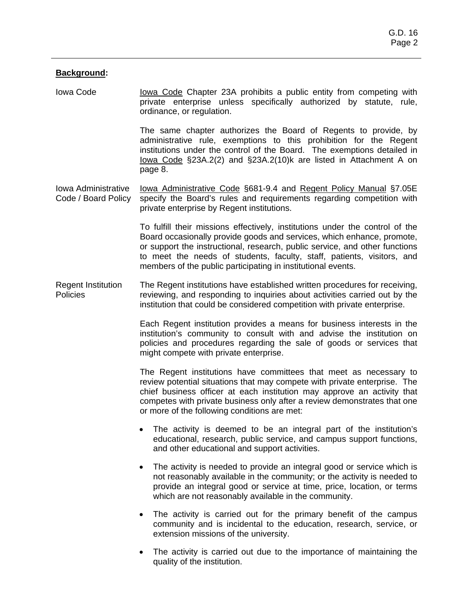#### **Background:**

Iowa Code **Iowa Code Chapter 23A prohibits a public entity from competing with** private enterprise unless specifically authorized by statute, rule, ordinance, or regulation.

> The same chapter authorizes the Board of Regents to provide, by administrative rule, exemptions to this prohibition for the Regent institutions under the control of the Board. The exemptions detailed in Iowa Code §23A.2(2) and §23A.2(10)k are listed in Attachment A on page 8.

Iowa Administrative Code / Board Policy lowa Administrative Code §681-9.4 and Regent Policy Manual §7.05E specify the Board's rules and requirements regarding competition with private enterprise by Regent institutions.

> To fulfill their missions effectively, institutions under the control of the Board occasionally provide goods and services, which enhance, promote, or support the instructional, research, public service, and other functions to meet the needs of students, faculty, staff, patients, visitors, and members of the public participating in institutional events.

The Regent institutions have established written procedures for receiving, reviewing, and responding to inquiries about activities carried out by the institution that could be considered competition with private enterprise. Regent Institution Policies

> Each Regent institution provides a means for business interests in the institution's community to consult with and advise the institution on policies and procedures regarding the sale of goods or services that might compete with private enterprise.

> The Regent institutions have committees that meet as necessary to review potential situations that may compete with private enterprise. The chief business officer at each institution may approve an activity that competes with private business only after a review demonstrates that one or more of the following conditions are met:

- The activity is deemed to be an integral part of the institution's educational, research, public service, and campus support functions, and other educational and support activities.
- The activity is needed to provide an integral good or service which is not reasonably available in the community; or the activity is needed to provide an integral good or service at time, price, location, or terms which are not reasonably available in the community.
- The activity is carried out for the primary benefit of the campus community and is incidental to the education, research, service, or extension missions of the university.
- The activity is carried out due to the importance of maintaining the quality of the institution.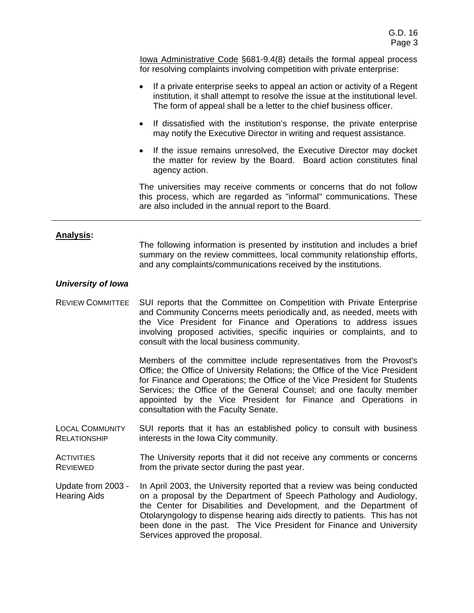Iowa Administrative Code §681-9.4(8) details the formal appeal process for resolving complaints involving competition with private enterprise:

- If a private enterprise seeks to appeal an action or activity of a Regent institution, it shall attempt to resolve the issue at the institutional level. The form of appeal shall be a letter to the chief business officer.
- If dissatisfied with the institution's response, the private enterprise may notify the Executive Director in writing and request assistance.
- If the issue remains unresolved, the Executive Director may docket the matter for review by the Board. Board action constitutes final agency action.

The universities may receive comments or concerns that do not follow this process, which are regarded as "informal" communications. These are also included in the annual report to the Board.

#### **Analysis:**

The following information is presented by institution and includes a brief summary on the review committees, local community relationship efforts, and any complaints/communications received by the institutions.

#### *University of Iowa*

REVIEW COMMITTEE SUI reports that the Committee on Competition with Private Enterprise and Community Concerns meets periodically and, as needed, meets with the Vice President for Finance and Operations to address issues involving proposed activities, specific inquiries or complaints, and to consult with the local business community.

> Members of the committee include representatives from the Provost's Office; the Office of University Relations; the Office of the Vice President for Finance and Operations; the Office of the Vice President for Students Services; the Office of the General Counsel; and one faculty member appointed by the Vice President for Finance and Operations in consultation with the Faculty Senate.

- LOCAL COMMUNITY **RELATIONSHIP** SUI reports that it has an established policy to consult with business interests in the Iowa City community.
- **ACTIVITIES** REVIEWED The University reports that it did not receive any comments or concerns from the private sector during the past year.
- Update from 2003 Hearing Aids In April 2003, the University reported that a review was being conducted on a proposal by the Department of Speech Pathology and Audiology, the Center for Disabilities and Development, and the Department of Otolaryngology to dispense hearing aids directly to patients. This has not been done in the past. The Vice President for Finance and University Services approved the proposal.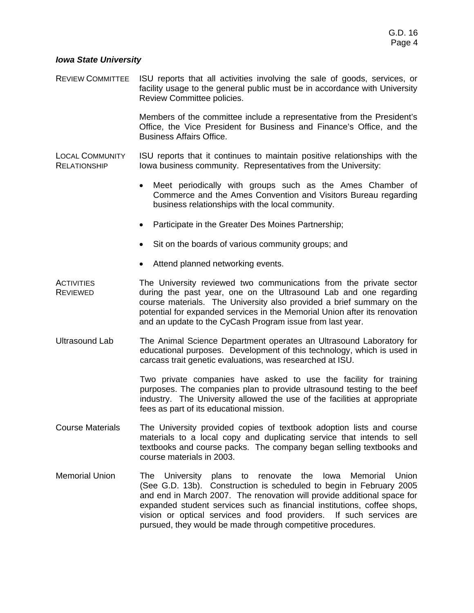## *Iowa State University*

REVIEW COMMITTEE ISU reports that all activities involving the sale of goods, services, or facility usage to the general public must be in accordance with University Review Committee policies.

> Members of the committee include a representative from the President's Office, the Vice President for Business and Finance's Office, and the Business Affairs Office.

LOCAL COMMUNITY **RELATIONSHIP** ISU reports that it continues to maintain positive relationships with the Iowa business community. Representatives from the University:

- Meet periodically with groups such as the Ames Chamber of Commerce and the Ames Convention and Visitors Bureau regarding business relationships with the local community.
- Participate in the Greater Des Moines Partnership;
- Sit on the boards of various community groups; and
- Attend planned networking events.
- **ACTIVITIES** REVIEWED The University reviewed two communications from the private sector during the past year, one on the Ultrasound Lab and one regarding course materials. The University also provided a brief summary on the potential for expanded services in the Memorial Union after its renovation and an update to the CyCash Program issue from last year.
- Ultrasound Lab The Animal Science Department operates an Ultrasound Laboratory for educational purposes. Development of this technology, which is used in carcass trait genetic evaluations, was researched at ISU.

Two private companies have asked to use the facility for training purposes. The companies plan to provide ultrasound testing to the beef industry. The University allowed the use of the facilities at appropriate fees as part of its educational mission.

- Course Materials The University provided copies of textbook adoption lists and course materials to a local copy and duplicating service that intends to sell textbooks and course packs. The company began selling textbooks and course materials in 2003.
- Memorial Union The University plans to renovate the Iowa Memorial Union (See G.D. 13b). Construction is scheduled to begin in February 2005 and end in March 2007. The renovation will provide additional space for expanded student services such as financial institutions, coffee shops, vision or optical services and food providers. If such services are pursued, they would be made through competitive procedures.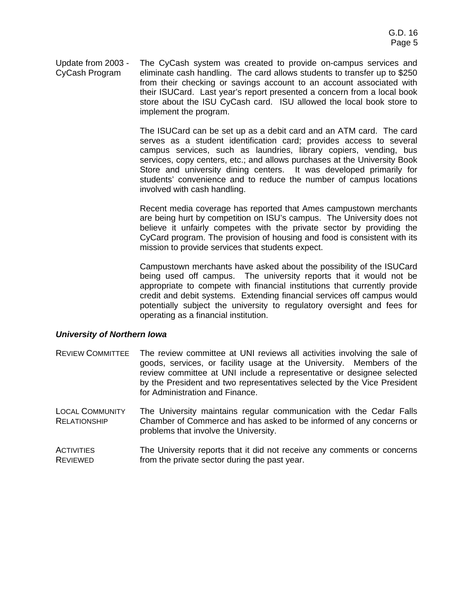Update from 2003 - CyCash Program The CyCash system was created to provide on-campus services and eliminate cash handling. The card allows students to transfer up to \$250 from their checking or savings account to an account associated with their ISUCard. Last year's report presented a concern from a local book store about the ISU CyCash card. ISU allowed the local book store to implement the program.

> The ISUCard can be set up as a debit card and an ATM card. The card serves as a student identification card; provides access to several campus services, such as laundries, library copiers, vending, bus services, copy centers, etc.; and allows purchases at the University Book Store and university dining centers. It was developed primarily for students' convenience and to reduce the number of campus locations involved with cash handling.

> Recent media coverage has reported that Ames campustown merchants are being hurt by competition on ISU's campus. The University does not believe it unfairly competes with the private sector by providing the CyCard program. The provision of housing and food is consistent with its mission to provide services that students expect.

> Campustown merchants have asked about the possibility of the ISUCard being used off campus. The university reports that it would not be appropriate to compete with financial institutions that currently provide credit and debit systems. Extending financial services off campus would potentially subject the university to regulatory oversight and fees for operating as a financial institution.

#### *University of Northern Iowa*

- REVIEW COMMITTEE The review committee at UNI reviews all activities involving the sale of goods, services, or facility usage at the University. Members of the review committee at UNI include a representative or designee selected by the President and two representatives selected by the Vice President for Administration and Finance.
- LOCAL COMMUNITY **RELATIONSHIP** The University maintains regular communication with the Cedar Falls Chamber of Commerce and has asked to be informed of any concerns or problems that involve the University.
- **ACTIVITIES** REVIEWED The University reports that it did not receive any comments or concerns from the private sector during the past year.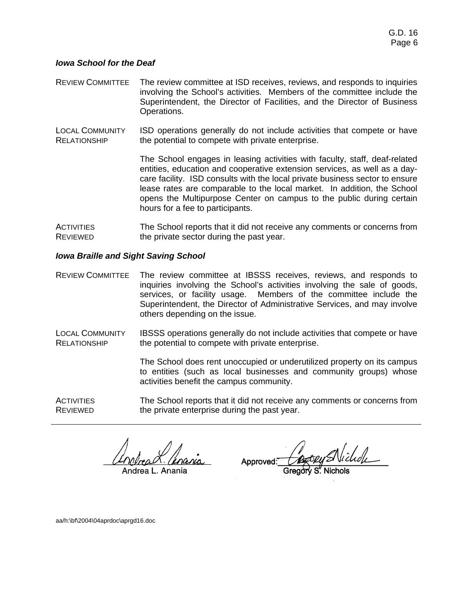#### *Iowa School for the Deaf*

- REVIEW COMMITTEE The review committee at ISD receives, reviews, and responds to inquiries involving the School's activities. Members of the committee include the Superintendent, the Director of Facilities, and the Director of Business Operations.
- LOCAL COMMUNITY **RELATIONSHIP** ISD operations generally do not include activities that compete or have the potential to compete with private enterprise.

The School engages in leasing activities with faculty, staff, deaf-related entities, education and cooperative extension services, as well as a daycare facility. ISD consults with the local private business sector to ensure lease rates are comparable to the local market. In addition, the School opens the Multipurpose Center on campus to the public during certain hours for a fee to participants.

**ACTIVITIES** REVIEWED The School reports that it did not receive any comments or concerns from the private sector during the past year.

#### *Iowa Braille and Sight Saving School*

- REVIEW COMMITTEE The review committee at IBSSS receives, reviews, and responds to inquiries involving the School's activities involving the sale of goods, services, or facility usage. Members of the committee include the Superintendent, the Director of Administrative Services, and may involve others depending on the issue.
- LOCAL COMMUNITY RELATIONSHIP IBSSS operations generally do not include activities that compete or have the potential to compete with private enterprise.

The School does rent unoccupied or underutilized property on its campus to entities (such as local businesses and community groups) whose activities benefit the campus community.

**ACTIVITIES** REVIEWED The School reports that it did not receive any comments or concerns from the private enterprise during the past year.

Andrea L. Anania

Approved:

aa/h:\bf\2004\04aprdoc\aprgd16.doc